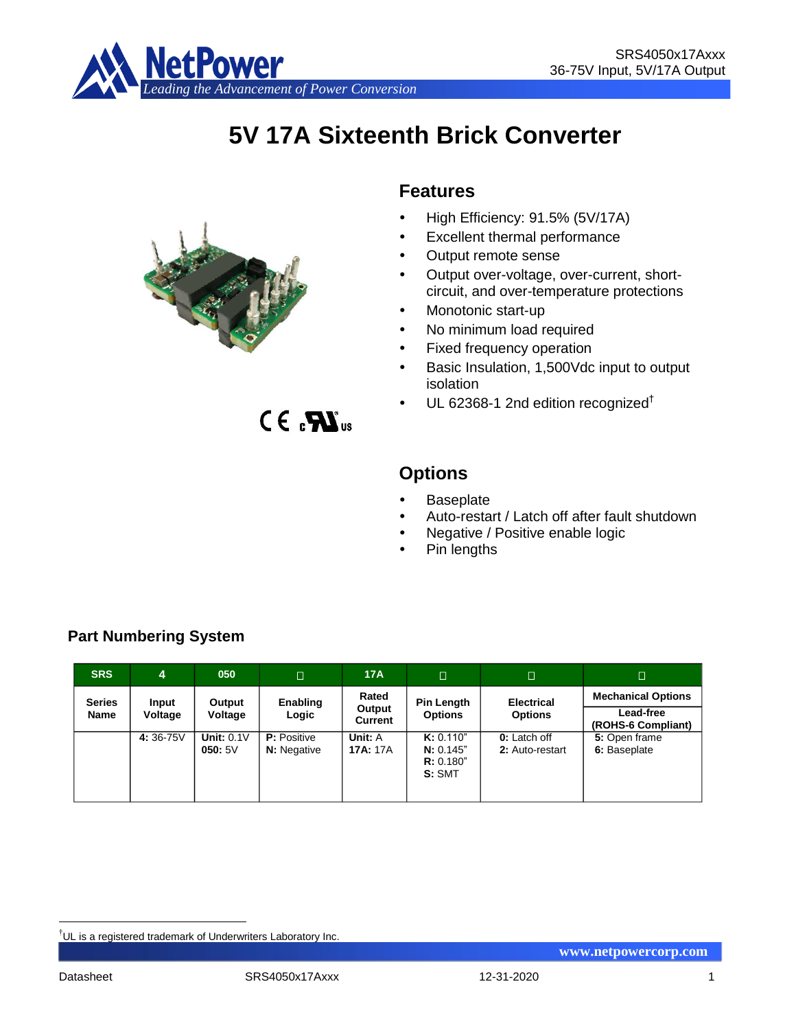

# **5V 17A Sixteenth Brick Converter**



 $CE<sub>s</sub>$  $X<sub>us</sub>$ 

## **Features**

- High Efficiency: 91.5% (5V/17A)
- Excellent thermal performance
- Output remote sense
- Output over-voltage, over-current, shortcircuit, and over-temperature protections
- Monotonic start-up
- No minimum load required
- Fixed frequency operation
- Basic Insulation, 1,500Vdc input to output isolation
- UL 62368-1 2nd edition recognized†

# **Options**

- **Baseplate**
- Auto-restart / Latch off after fault shutdown
- Negative / Positive enable logic
- Pin lengths

| <b>SRS</b>    | 4        | 050                         | $\Box$                                   | 17A                        | ים י                                         | □                                      | $\Box$                          |
|---------------|----------|-----------------------------|------------------------------------------|----------------------------|----------------------------------------------|----------------------------------------|---------------------------------|
| <b>Series</b> | Input    | Output<br>Voltage           | Enabling                                 | Rated<br>Output            | <b>Pin Length</b>                            | <b>Electrical</b>                      | <b>Mechanical Options</b>       |
| <b>Name</b>   | Voltage  |                             | Logic                                    | Current                    | <b>Options</b>                               | <b>Options</b>                         | Lead-free<br>(ROHS-6 Compliant) |
|               | 4:36-75V | <b>Unit: 0.1V</b><br>050:5V | <b>P:</b> Positive<br><b>N:</b> Negative | Unit: A<br><b>17A:</b> 17A | K: 0.110"<br>N: 0.145"<br>R: 0.180"<br>S:SMT | <b>0:</b> Latch off<br>2: Auto-restart | 5: Open frame<br>6: Baseplate   |

## **Part Numbering System**

<u>.</u>

<sup>†</sup>UL is a registered trademark of Underwriters Laboratory Inc.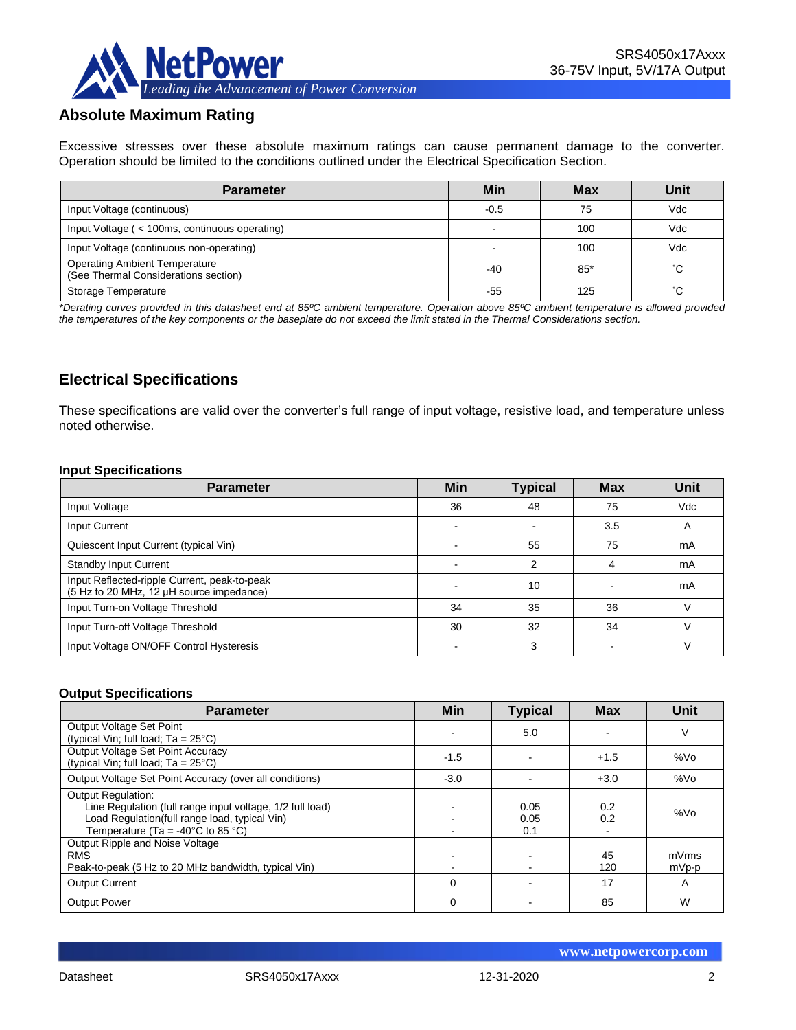

## **Absolute Maximum Rating**

Excessive stresses over these absolute maximum ratings can cause permanent damage to the converter. Operation should be limited to the conditions outlined under the Electrical Specification Section.

| <b>Parameter</b>                                                             | Min    | <b>Max</b> | Unit |
|------------------------------------------------------------------------------|--------|------------|------|
| Input Voltage (continuous)                                                   | $-0.5$ | 75         | Vdc  |
| Input Voltage (< 100ms, continuous operating)                                |        | 100        | Vdc  |
| Input Voltage (continuous non-operating)                                     |        | 100        | Vdc  |
| <b>Operating Ambient Temperature</b><br>(See Thermal Considerations section) | -40    | $85*$      | °С   |
| Storage Temperature                                                          | -55    | 125        | °С   |

*\*Derating curves provided in this datasheet end at 85ºC ambient temperature. Operation above 85ºC ambient temperature is allowed provided the temperatures of the key components or the baseplate do not exceed the limit stated in the Thermal Considerations section.*

## **Electrical Specifications**

These specifications are valid over the converter's full range of input voltage, resistive load, and temperature unless noted otherwise.

#### **Input Specifications**

| <b>Parameter</b>                                                                         | <b>Min</b> | <b>Typical</b> | <b>Max</b> | Unit       |
|------------------------------------------------------------------------------------------|------------|----------------|------------|------------|
| Input Voltage                                                                            | 36         | 48             | 75         | <b>Vdc</b> |
| Input Current                                                                            |            |                | 3.5        | A          |
| Quiescent Input Current (typical Vin)                                                    |            | 55             | 75         | mA         |
| <b>Standby Input Current</b>                                                             |            | c              | 4          | mA         |
| Input Reflected-ripple Current, peak-to-peak<br>(5 Hz to 20 MHz, 12 µH source impedance) |            | 10             |            | mA         |
| Input Turn-on Voltage Threshold                                                          | 34         | 35             | 36         |            |
| Input Turn-off Voltage Threshold                                                         | 30         | 32             | 34         |            |
| Input Voltage ON/OFF Control Hysteresis                                                  |            | 3              |            |            |

#### **Output Specifications**

| <b>Parameter</b>                                                                                                                                                                                  | Min      | <b>Typical</b>      | <b>Max</b> | Unit           |
|---------------------------------------------------------------------------------------------------------------------------------------------------------------------------------------------------|----------|---------------------|------------|----------------|
| Output Voltage Set Point<br>(typical Vin; full load; $Ta = 25^{\circ}C$ )                                                                                                                         |          | 5.0                 |            | V              |
| Output Voltage Set Point Accuracy<br>(typical Vin; full load; $Ta = 25^{\circ}C$ )                                                                                                                | $-1.5$   |                     | $+1.5$     | %Vo            |
| Output Voltage Set Point Accuracy (over all conditions)                                                                                                                                           | $-3.0$   |                     | $+3.0$     | %Vo            |
| <b>Output Regulation:</b><br>Line Regulation (full range input voltage, 1/2 full load)<br>Load Regulation(full range load, typical Vin)<br>Temperature (Ta = -40 $^{\circ}$ C to 85 $^{\circ}$ C) |          | 0.05<br>0.05<br>0.1 | 0.2<br>0.2 | %Vo            |
| Output Ripple and Noise Voltage<br><b>RMS</b><br>Peak-to-peak (5 Hz to 20 MHz bandwidth, typical Vin)                                                                                             |          |                     | 45<br>120  | mVrms<br>mVp-p |
| <b>Output Current</b>                                                                                                                                                                             | $\Omega$ |                     | 17         | A              |
| <b>Output Power</b>                                                                                                                                                                               | $\Omega$ |                     | 85         | W              |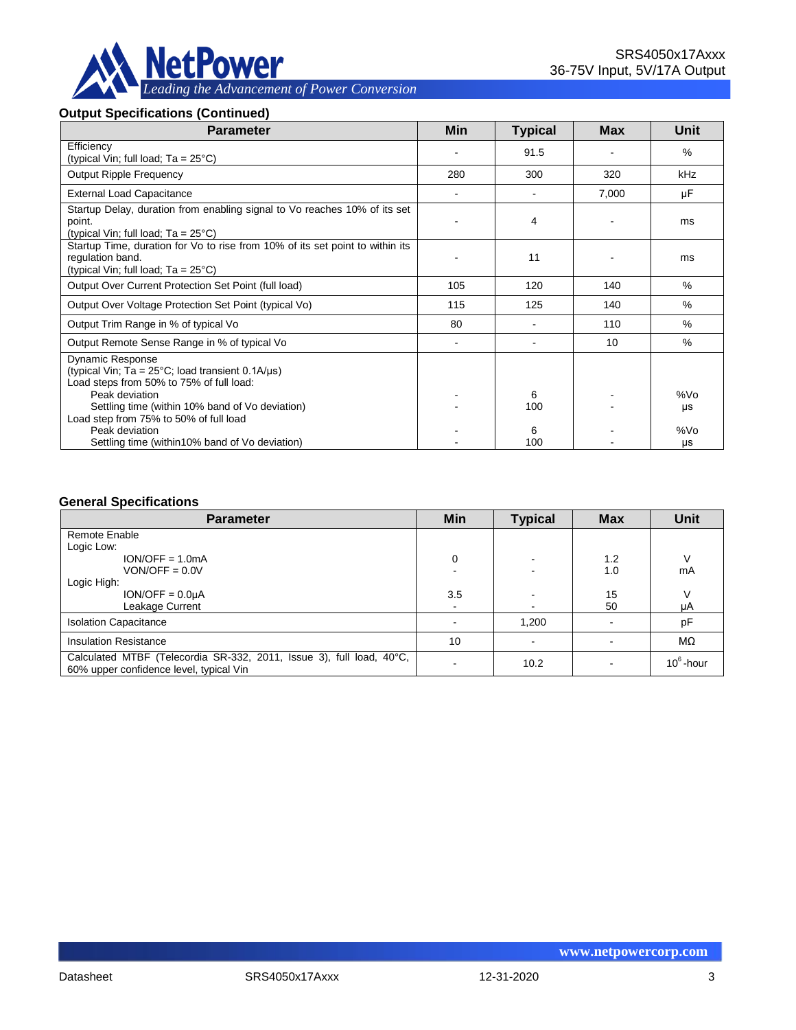

#### **Output Specifications (Continued)**

| <b>Parameter</b>                                                                                                                         | <b>Min</b>     | <b>Typical</b> | Max   | Unit      |
|------------------------------------------------------------------------------------------------------------------------------------------|----------------|----------------|-------|-----------|
| Efficiency<br>(typical Vin; full load; $Ta = 25^{\circ}C$ )                                                                              |                | 91.5           |       | $\%$      |
| <b>Output Ripple Frequency</b>                                                                                                           | 280            | 300            | 320   | kHz       |
| <b>External Load Capacitance</b>                                                                                                         |                |                | 7,000 | μF        |
| Startup Delay, duration from enabling signal to Vo reaches 10% of its set<br>point.<br>(typical Vin; full load; $Ta = 25^{\circ}C$ )     |                | 4              |       | ms        |
| Startup Time, duration for Vo to rise from 10% of its set point to within its<br>regulation band.<br>(typical Vin; full load; Ta = 25°C) |                | 11             |       | ms        |
| Output Over Current Protection Set Point (full load)                                                                                     | 105            | 120            | 140   | %         |
| Output Over Voltage Protection Set Point (typical Vo)                                                                                    | 115            | 125            | 140   | $\%$      |
| Output Trim Range in % of typical Vo                                                                                                     | 80             |                | 110   | $\%$      |
| Output Remote Sense Range in % of typical Vo                                                                                             | $\blacksquare$ |                | 10    | %         |
| <b>Dynamic Response</b><br>(typical Vin; Ta = $25^{\circ}$ C; load transient 0.1A/ $\mu$ s)<br>Load steps from 50% to 75% of full load:  |                |                |       |           |
| Peak deviation                                                                                                                           |                | 6              |       | %Vo       |
| Settling time (within 10% band of Vo deviation)<br>Load step from 75% to 50% of full load                                                |                | 100            |       | μs        |
| Peak deviation<br>Settling time (within 10% band of Vo deviation)                                                                        |                | 6<br>100       |       | %Vo<br>μs |

#### **General Specifications**

| <b>Parameter</b>                                                                                                | Min            | <b>Typical</b> | <b>Max</b> | <b>Unit</b>  |
|-----------------------------------------------------------------------------------------------------------------|----------------|----------------|------------|--------------|
| Remote Enable                                                                                                   |                |                |            |              |
| Logic Low:                                                                                                      |                |                |            |              |
| $ION/OFF = 1.0mA$                                                                                               | 0              |                | 1.2        | ν            |
| $VON/OFF = 0.0V$                                                                                                |                |                | 1.0        | mA           |
| Logic High:                                                                                                     |                |                |            |              |
| $ION/OFF = 0.0µA$                                                                                               | 3.5            |                | 15         | ν            |
| Leakage Current                                                                                                 | $\blacksquare$ |                | 50         | μA           |
| <b>Isolation Capacitance</b>                                                                                    |                | 1,200          |            | рF           |
| <b>Insulation Resistance</b>                                                                                    | 10             |                |            | $M\Omega$    |
| Calculated MTBF (Telecordia SR-332, 2011, Issue 3), full load, 40°C,<br>60% upper confidence level, typical Vin |                | 10.2           |            | $10^6$ -hour |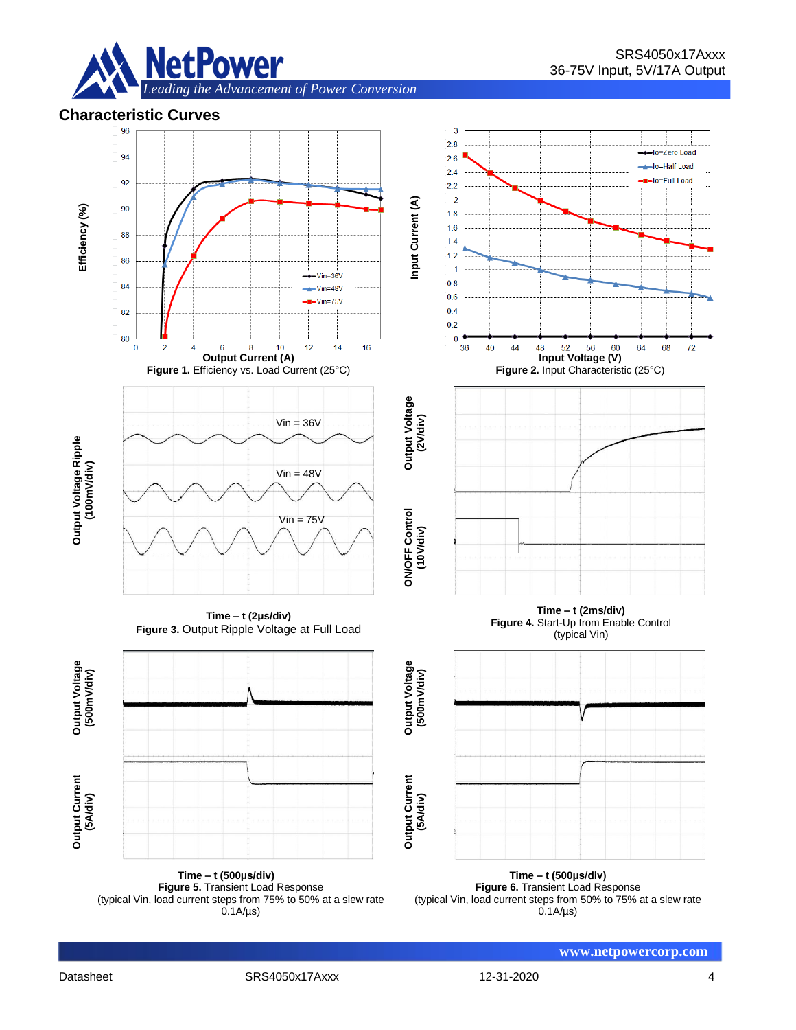





**Figure 5.** Transient Load Response (typical Vin, load current steps from 75% to 50% at a slew rate  $0.1A/\mu s$ 

**Figure 6.** Transient Load Response (typical Vin, load current steps from 50% to 75% at a slew rate  $0.1A/\mu s$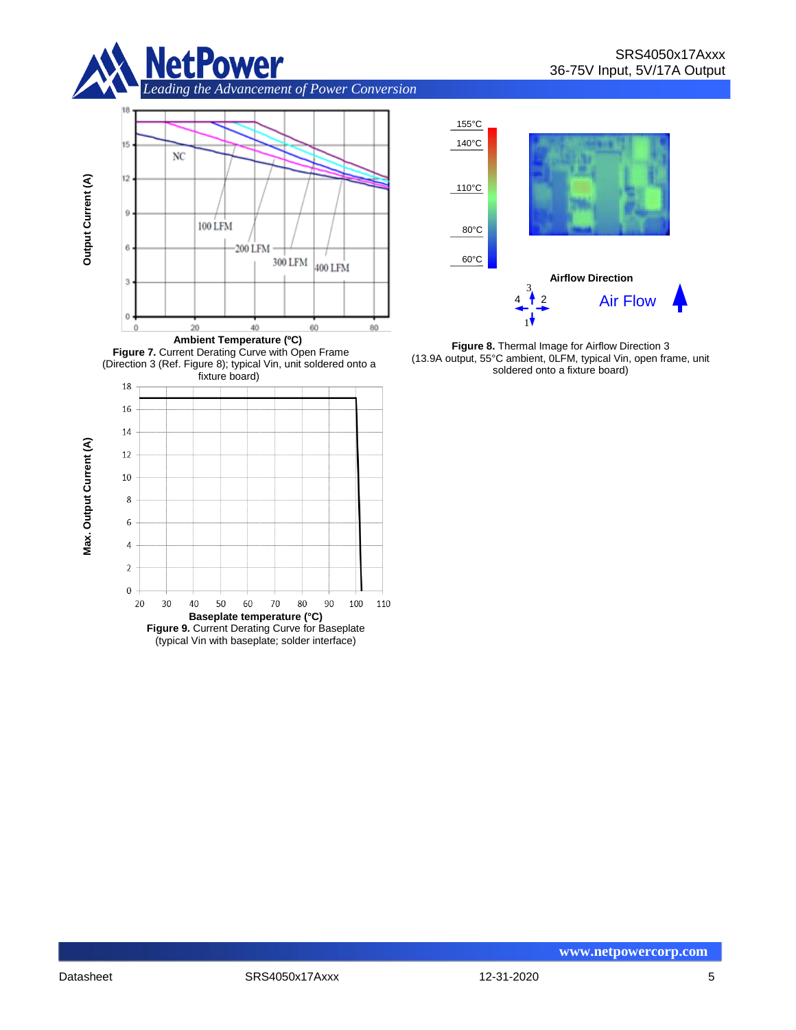

*Leading the Advancement of Power Conversion* 





**Figure 8.** Thermal Image for Airflow Direction 3 (13.9A output, 55°C ambient, 0LFM, typical Vin, open frame, unit soldered onto a fixture board)



(typical Vin with baseplate; solder interface)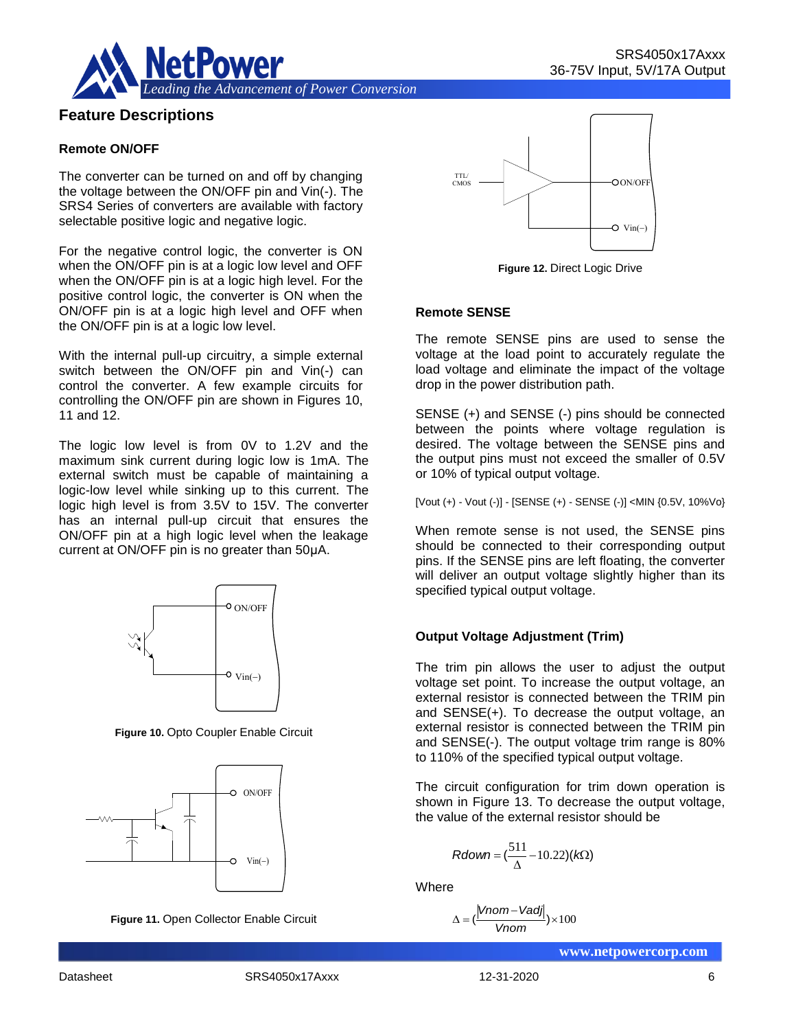

## **Feature Descriptions**

#### **Remote ON/OFF**

The converter can be turned on and off by changing the voltage between the ON/OFF pin and Vin(-). The SRS4 Series of converters are available with factory selectable positive logic and negative logic.

For the negative control logic, the converter is ON when the ON/OFF pin is at a logic low level and OFF when the ON/OFF pin is at a logic high level. For the positive control logic, the converter is ON when the ON/OFF pin is at a logic high level and OFF when the ON/OFF pin is at a logic low level.

With the internal pull-up circuitry, a simple external switch between the ON/OFF pin and Vin(-) can control the converter. A few example circuits for controlling the ON/OFF pin are shown in Figures 10, 11 and 12.

The logic low level is from 0V to 1.2V and the maximum sink current during logic low is 1mA. The external switch must be capable of maintaining a logic-low level while sinking up to this current. The logic high level is from 3.5V to 15V. The converter has an internal pull-up circuit that ensures the ON/OFF pin at a high logic level when the leakage current at ON/OFF pin is no greater than 50μA.



**Figure 10.** Opto Coupler Enable Circuit







**Figure 12.** Direct Logic Drive

#### **Remote SENSE**

The remote SENSE pins are used to sense the voltage at the load point to accurately regulate the load voltage and eliminate the impact of the voltage drop in the power distribution path.

SENSE (+) and SENSE (-) pins should be connected between the points where voltage regulation is desired. The voltage between the SENSE pins and the output pins must not exceed the smaller of 0.5V or 10% of typical output voltage.

[Vout (+) - Vout (-)] - [SENSE (+) - SENSE (-)] <MIN {0.5V, 10%Vo}

When remote sense is not used, the SENSE pins should be connected to their corresponding output pins. If the SENSE pins are left floating, the converter will deliver an output voltage slightly higher than its specified typical output voltage.

#### **Output Voltage Adjustment (Trim)**

The trim pin allows the user to adjust the output voltage set point. To increase the output voltage, an external resistor is connected between the TRIM pin and SENSE(+). To decrease the output voltage, an external resistor is connected between the TRIM pin and SENSE(-). The output voltage trim range is 80% to 110% of the specified typical output voltage.  $\begin{array}{c|c} \text{Vin}(\text{-}) & \text{Output Voltage Adjust} \ \end{array}$ <br>
Vin(-)<br>
Vin(-)<br>
The trim pin allows<br>
voltage set point. To is<br>
external resistor is co<br>
and SENSE(+). To de<br>
external resistor is co<br>
and SENSE(-). The other<br>
to 110% of the specific<br>

The circuit configuration for trim down operation is shown in Figure 13. To decrease the output voltage, the value of the external resistor should be

$$
Rdown = (\frac{511}{\Delta} - 10.22)(k\Omega)
$$

**Where** 

$$
\Delta = (\frac{|Vnom - Vadj|}{Vnom}) \times 100
$$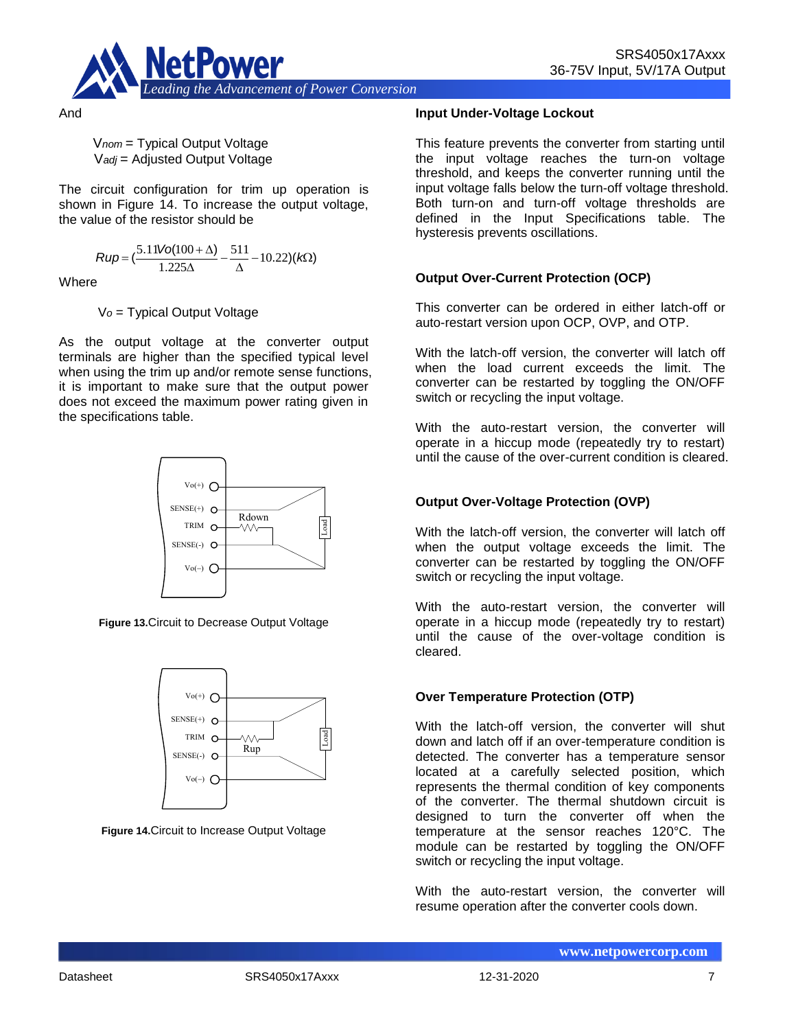

V*nom* = Typical Output Voltage V*adj* = Adjusted Output Voltage

The circuit configuration for trim up operation is shown in Figure 14. To increase the output voltage, the value of the resistor should be

$$
Rup = \left(\frac{5.11\text{Vol}(100 + \Delta)}{1.225\Delta} - \frac{511}{\Delta} - 10.22\right)(k\Omega)
$$

**Where** 

And

V*o* = Typical Output Voltage

As the output voltage at the converter output terminals are higher than the specified typical level when using the trim up and/or remote sense functions, it is important to make sure that the output power does not exceed the maximum power rating given in the specifications table.



**Figure 13.**Circuit to Decrease Output Voltage



**Figure 14.**Circuit to Increase Output Voltage

#### **Input Under-Voltage Lockout**

This feature prevents the converter from starting until the input voltage reaches the turn-on voltage threshold, and keeps the converter running until the input voltage falls below the turn-off voltage threshold. Both turn-on and turn-off voltage thresholds are defined in the Input Specifications table. The hysteresis prevents oscillations.

## **Output Over-Current Protection (OCP)**

This converter can be ordered in either latch-off or auto-restart version upon OCP, OVP, and OTP.

With the latch-off version, the converter will latch off when the load current exceeds the limit. The converter can be restarted by toggling the ON/OFF switch or recycling the input voltage.

With the auto-restart version, the converter will operate in a hiccup mode (repeatedly try to restart) until the cause of the over-current condition is cleared.

#### **Output Over-Voltage Protection (OVP)**

With the latch-off version, the converter will latch off when the output voltage exceeds the limit. The converter can be restarted by toggling the ON/OFF switch or recycling the input voltage.

With the auto-restart version, the converter will operate in a hiccup mode (repeatedly try to restart) until the cause of the over-voltage condition is cleared.

#### **Over Temperature Protection (OTP)**

With the latch-off version, the converter will shut down and latch off if an over-temperature condition is detected. The converter has a temperature sensor located at a carefully selected position, which represents the thermal condition of key components of the converter. The thermal shutdown circuit is designed to turn the converter off when the temperature at the sensor reaches 120°C. The module can be restarted by toggling the ON/OFF switch or recycling the input voltage.

With the auto-restart version, the converter will resume operation after the converter cools down.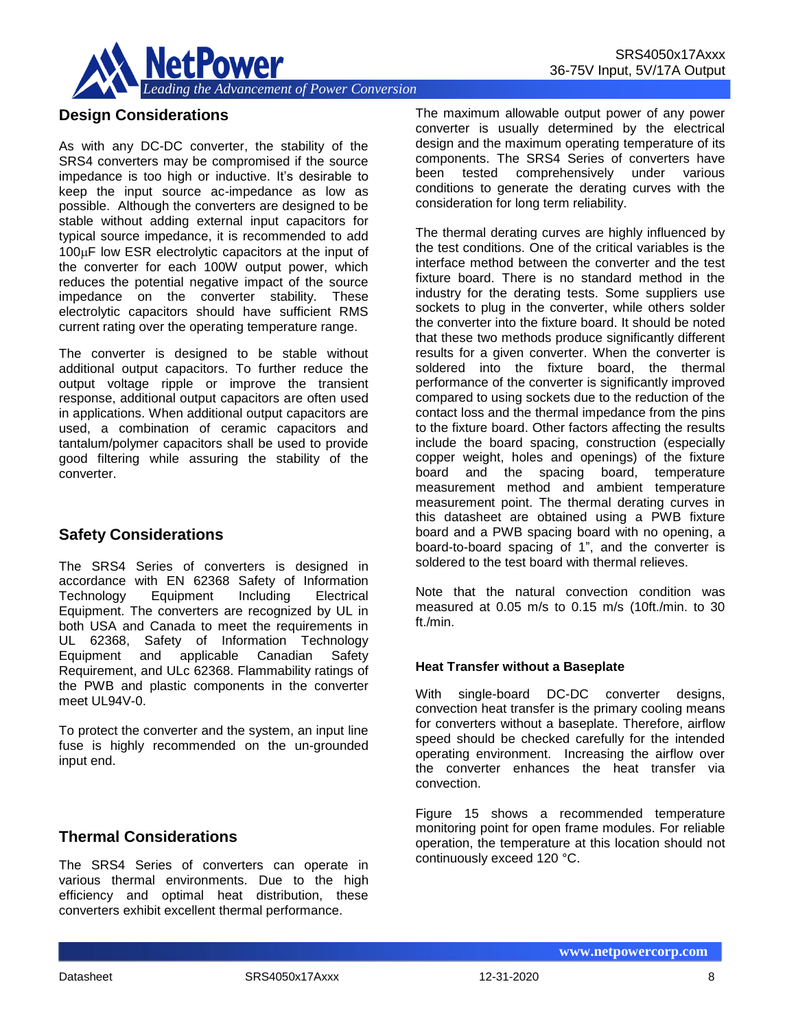

## **Design Considerations**

As with any DC-DC converter, the stability of the SRS4 converters may be compromised if the source impedance is too high or inductive. It's desirable to keep the input source ac-impedance as low as possible. Although the converters are designed to be stable without adding external input capacitors for typical source impedance, it is recommended to add  $100\mu$ F low ESR electrolytic capacitors at the input of the converter for each 100W output power, which reduces the potential negative impact of the source impedance on the converter stability. These electrolytic capacitors should have sufficient RMS current rating over the operating temperature range.

The converter is designed to be stable without additional output capacitors. To further reduce the output voltage ripple or improve the transient response, additional output capacitors are often used in applications. When additional output capacitors are used, a combination of ceramic capacitors and tantalum/polymer capacitors shall be used to provide good filtering while assuring the stability of the converter.

## **Safety Considerations**

The SRS4 Series of converters is designed in accordance with EN 62368 Safety of Information Technology Equipment Including Electrical Equipment. The converters are recognized by UL in both USA and Canada to meet the requirements in UL 62368, Safety of Information Technology Equipment and applicable Canadian Safety Requirement, and ULc 62368. Flammability ratings of the PWB and plastic components in the converter meet UL94V-0.

To protect the converter and the system, an input line fuse is highly recommended on the un-grounded input end.

## **Thermal Considerations**

The SRS4 Series of converters can operate in various thermal environments. Due to the high efficiency and optimal heat distribution, these converters exhibit excellent thermal performance.

The maximum allowable output power of any power converter is usually determined by the electrical design and the maximum operating temperature of its components. The SRS4 Series of converters have been tested comprehensively under various conditions to generate the derating curves with the consideration for long term reliability.

The thermal derating curves are highly influenced by the test conditions. One of the critical variables is the interface method between the converter and the test fixture board. There is no standard method in the industry for the derating tests. Some suppliers use sockets to plug in the converter, while others solder the converter into the fixture board. It should be noted that these two methods produce significantly different results for a given converter. When the converter is soldered into the fixture board, the thermal performance of the converter is significantly improved compared to using sockets due to the reduction of the contact loss and the thermal impedance from the pins to the fixture board. Other factors affecting the results include the board spacing, construction (especially copper weight, holes and openings) of the fixture board and the spacing board, temperature measurement method and ambient temperature measurement point. The thermal derating curves in this datasheet are obtained using a PWB fixture board and a PWB spacing board with no opening, a board-to-board spacing of 1", and the converter is soldered to the test board with thermal relieves.

Note that the natural convection condition was measured at 0.05 m/s to 0.15 m/s (10ft./min. to 30 ft./min.

#### **Heat Transfer without a Baseplate**

With single-board DC-DC converter designs, convection heat transfer is the primary cooling means for converters without a baseplate. Therefore, airflow speed should be checked carefully for the intended operating environment. Increasing the airflow over the converter enhances the heat transfer via convection.

Figure 15 shows a recommended temperature monitoring point for open frame modules. For reliable operation, the temperature at this location should not continuously exceed 120 °C.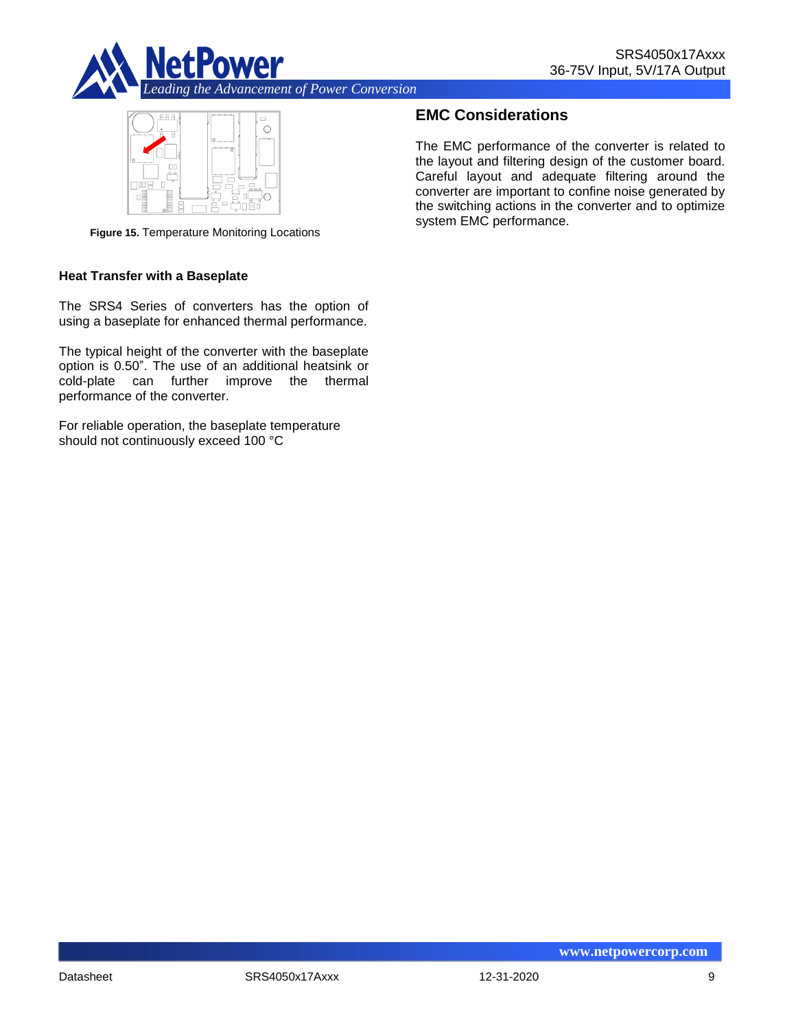



**Figure 15.** Temperature Monitoring Locations

#### **Heat Transfer with a Baseplate**

The SRS4 Series of converters has the option of using a baseplate for enhanced thermal performance.

The typical height of the converter with the baseplate option is 0.50". The use of an additional heatsink or cold-plate can further improve the thermal performance of the converter.

For reliable operation, the baseplate temperature should not continuously exceed 100 °C

## **EMC Considerations**

The EMC performance of the converter is related to the layout and filtering design of the customer board. Careful layout and adequate filtering around the converter are important to confine noise generated by the switching actions in the converter and to optimize system EMC performance.